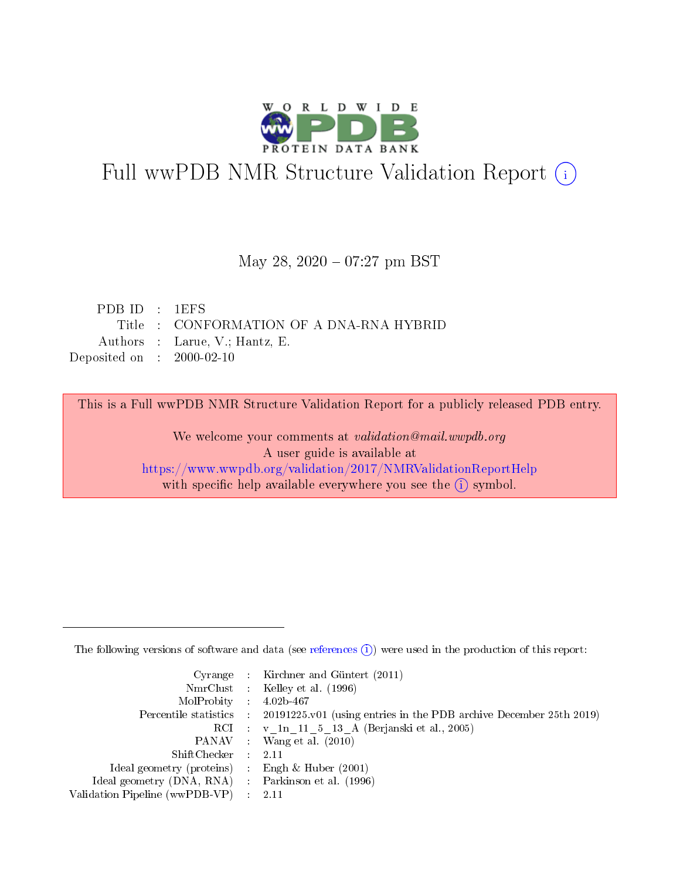

# Full wwPDB NMR Structure Validation Report (i)

#### May 28, 2020 – 07:27 pm BST

| PDBID : 1EFS                |                                          |
|-----------------------------|------------------------------------------|
|                             | Title : CONFORMATION OF A DNA-RNA HYBRID |
|                             | Authors : Larue, V.; Hantz, E.           |
| Deposited on : $2000-02-10$ |                                          |

This is a Full wwPDB NMR Structure Validation Report for a publicly released PDB entry.

We welcome your comments at *validation@mail.wwpdb.org* A user guide is available at <https://www.wwpdb.org/validation/2017/NMRValidationReportHelp> with specific help available everywhere you see the  $(i)$  symbol.

The following versions of software and data (see [references](https://www.wwpdb.org/validation/2017/NMRValidationReportHelp#references)  $(1)$ ) were used in the production of this report:

|                                                     | Cyrange : Kirchner and Güntert $(2011)$                                                    |
|-----------------------------------------------------|--------------------------------------------------------------------------------------------|
|                                                     | NmrClust : Kelley et al. (1996)                                                            |
| $MolProbability$ 4.02b-467                          |                                                                                            |
|                                                     | Percentile statistics : 20191225.v01 (using entries in the PDB archive December 25th 2019) |
|                                                     | RCI : v 1n 11 5 13 A (Berjanski et al., 2005)                                              |
|                                                     | PANAV Wang et al. (2010)                                                                   |
| $ShiftChecker$ 2.11                                 |                                                                                            |
| Ideal geometry (proteins) : Engh $\&$ Huber (2001)  |                                                                                            |
| Ideal geometry (DNA, RNA) : Parkinson et al. (1996) |                                                                                            |
| Validation Pipeline (wwPDB-VP)                      | $\sim 2.11$                                                                                |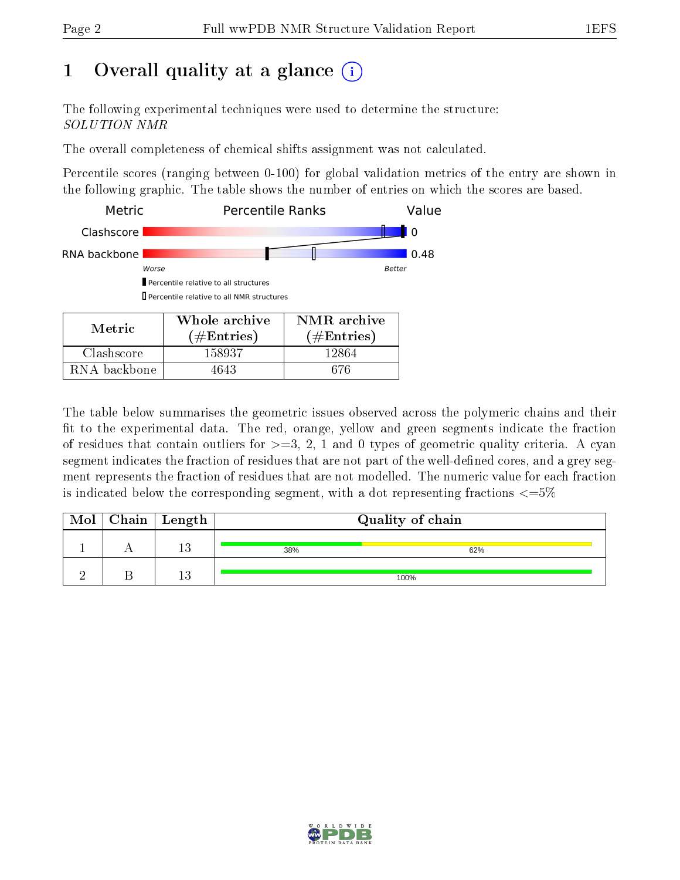## 1 [O](https://www.wwpdb.org/validation/2017/NMRValidationReportHelp#overall_quality)verall quality at a glance (i)

The following experimental techniques were used to determine the structure: SOLUTION NMR

The overall completeness of chemical shifts assignment was not calculated.

Percentile scores (ranging between 0-100) for global validation metrics of the entry are shown in the following graphic. The table shows the number of entries on which the scores are based.



RNA backbone | 4643 | 676

The table below summarises the geometric issues observed across the polymeric chains and their fit to the experimental data. The red, orange, yellow and green segments indicate the fraction of residues that contain outliers for  $\geq$ =3, 2, 1 and 0 types of geometric quality criteria. A cyan segment indicates the fraction of residues that are not part of the well-defined cores, and a grey segment represents the fraction of residues that are not modelled. The numeric value for each fraction is indicated below the corresponding segment, with a dot representing fractions  $\epsilon = 5\%$ 

| Mol | $\mid$ Chain $\mid$ Length |     | Quality of chain |
|-----|----------------------------|-----|------------------|
|     | 1 9                        | 38% | 62%              |
|     | 19                         |     | 100%             |

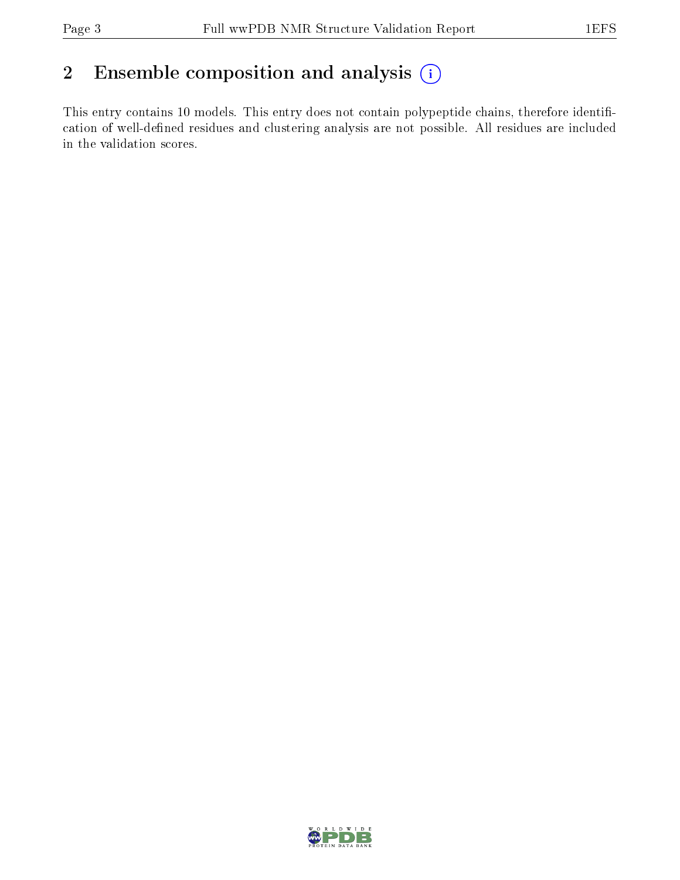### 2 Ensemble composition and analysis  $(i)$

This entry contains 10 models. This entry does not contain polypeptide chains, therefore identification of well-defined residues and clustering analysis are not possible. All residues are included in the validation scores.

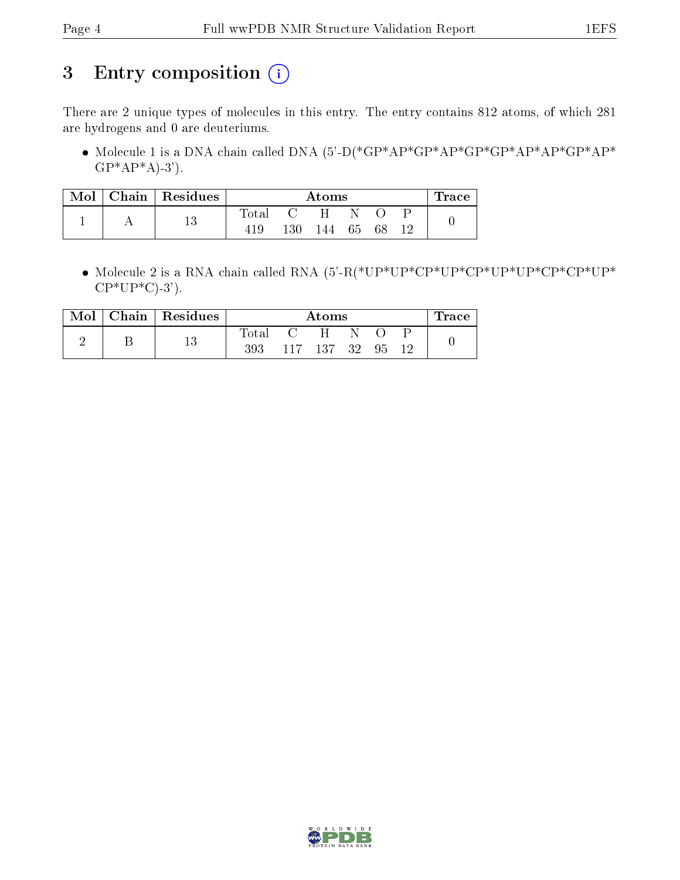## 3 Entry composition (i)

There are 2 unique types of molecules in this entry. The entry contains 812 atoms, of which 281 are hydrogens and 0 are deuteriums.

 Molecule 1 is a DNA chain called DNA (5'-D(\*GP\*AP\*GP\*AP\*GP\*GP\*AP\*AP\*GP\*AP\*  $GP^*AP^*A$ -3').

| Mol | Chain   Residues |                  | Atoms |     |    |  | $\operatorname{Trace}$ |  |
|-----|------------------|------------------|-------|-----|----|--|------------------------|--|
|     | ני ו             | $\mathrm{Total}$ |       |     |    |  |                        |  |
|     | ⊥∪               |                  | 130   | 144 | 65 |  |                        |  |

 Molecule 2 is a RNA chain called RNA (5'-R(\*UP\*UP\*CP\*UP\*CP\*UP\*UP\*CP\*CP\*UP\*  $CP*UP*C$ -3').

| Mol | Chain   Residues |                | Atoms            |         |     |    |  | race |
|-----|------------------|----------------|------------------|---------|-----|----|--|------|
|     |                  | $_{\rm Total}$ | $\mathfrak{c}$ : | H.      |     |    |  |      |
|     |                  | 393            |                  | 117 137 | -32 | 95 |  |      |

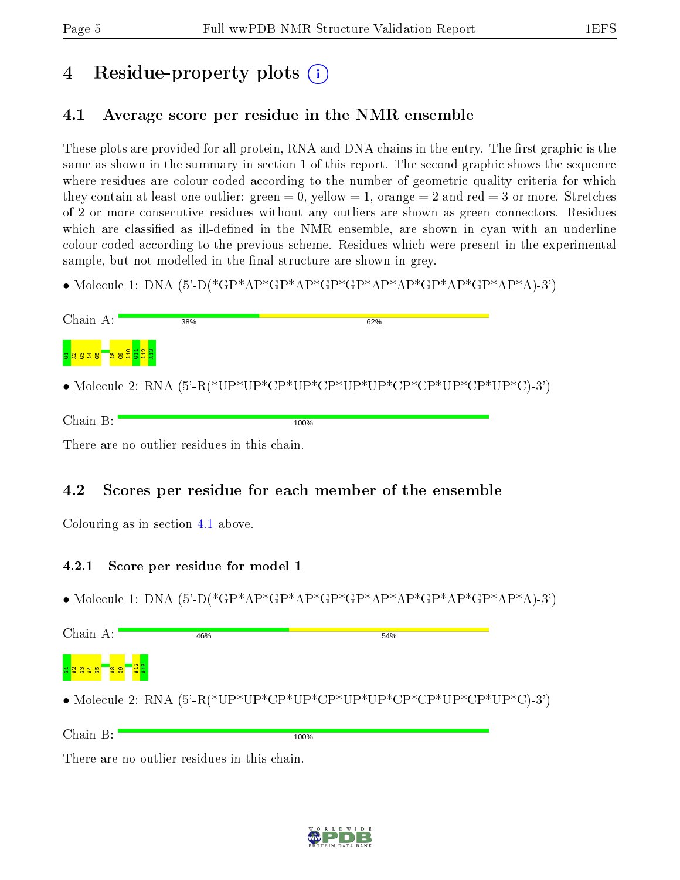## 4 Residue-property plots  $\binom{1}{1}$

### <span id="page-4-0"></span>4.1 Average score per residue in the NMR ensemble

These plots are provided for all protein, RNA and DNA chains in the entry. The first graphic is the same as shown in the summary in section 1 of this report. The second graphic shows the sequence where residues are colour-coded according to the number of geometric quality criteria for which they contain at least one outlier: green  $= 0$ , yellow  $= 1$ , orange  $= 2$  and red  $= 3$  or more. Stretches of 2 or more consecutive residues without any outliers are shown as green connectors. Residues which are classified as ill-defined in the NMR ensemble, are shown in cyan with an underline colour-coded according to the previous scheme. Residues which were present in the experimental sample, but not modelled in the final structure are shown in grey.

• Molecule 1: DNA  $(5)-P$ <sup>\*</sup>GP<sup>\*</sup>AP<sup>\*</sup>GP<sup>\*</sup>AP<sup>\*</sup>GP<sup>\*</sup>AP<sup>\*</sup>GP<sup>\*</sup>AP<sup>\*</sup>GP<sup>\*</sup>AP<sup>\*</sup>GP<sup>\*</sup>AP<sup>\*</sup>A)-3'

| Chain A: | 38% | 62%                                                                            |  |
|----------|-----|--------------------------------------------------------------------------------|--|
|          |     |                                                                                |  |
|          |     | • Molecule 2: RNA $(5^{\prime}$ -R(*UP*UP*CP*UP*CP*UP*UP*CP*CP*UP*CP*UP*C)-3') |  |

| $\overline{\phantom{0}}$<br>$ -$ | 100%<br>----- |
|----------------------------------|---------------|
|                                  |               |

There are no outlier residues in this chain.

### 4.2 Scores per residue for each member of the ensemble

Colouring as in section [4.1](#page-4-0) above.

#### 4.2.1 Score per residue for model 1

• Molecule 1: DNA (5'-D(\*GP\*AP\*GP\*AP\*GP\*GP\*AP\*AP\*GP\*AP\*GP\*AP\*A)-3')

| Chain A:                                | 46%              | 54% |  |
|-----------------------------------------|------------------|-----|--|
| <mark>eg g</mark><br><mark>공일음질용</mark> | <mark>'옆溫</mark> |     |  |
|                                         |                  |     |  |

• Molecule 2: RNA (5'-R(\*UP\*UP\*CP\*UP\*CP\*UP\*UP\*CP\*CP\*UP\*CP\*UP\*C)-3')

Chain B:

100%

There are no outlier residues in this chain.

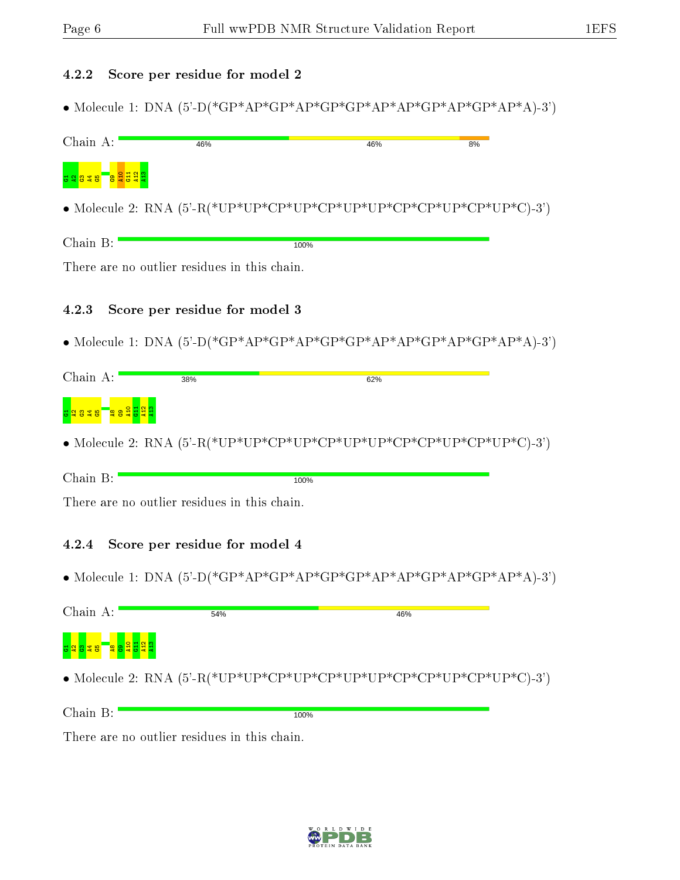#### 4.2.2 Score per residue for model 2

• Molecule 1: DNA (5'-D(\*GP\*AP\*GP\*AP\*GP\*AP\*AP\*AP\*GP\*AP\*GP\*AP\*A)-3')

| Chain A:    | 46%                                                                                                                                                                                                                                                                                                                                                                                                     | 46%  | 8% |
|-------------|---------------------------------------------------------------------------------------------------------------------------------------------------------------------------------------------------------------------------------------------------------------------------------------------------------------------------------------------------------------------------------------------------------|------|----|
| 5 Q 8 Q 8 B |                                                                                                                                                                                                                                                                                                                                                                                                         |      |    |
|             |                                                                                                                                                                                                                                                                                                                                                                                                         |      |    |
| Chain B:    |                                                                                                                                                                                                                                                                                                                                                                                                         | 100% |    |
|             | There are no outlier residues in this chain.                                                                                                                                                                                                                                                                                                                                                            |      |    |
| 4.2.3       | Score per residue for model 3                                                                                                                                                                                                                                                                                                                                                                           |      |    |
|             | • Molecule 1: DNA $(5^{\circ}\text{-D}({^*}\text{GP}^*\text{AP}^*\text{GP}^*\text{AP}^*\text{GP}^*\text{AP}^*\text{AP}^*\text{AP}^*\text{CP}^*\text{AP}^*\text{CP}^*\text{AP}^*\text{AP}^*\text{AP}^*\text{AP}^*\text{AP}^*\text{AP}^*\text{AP}^*\text{AP}^*\text{AP}^*\text{AP}^*\text{AP}^*\text{AP}^*\text{AP}^*\text{AP}^*\text{AP}^*\text{AP}^*\text{AP}^*\text{AP}^*\text{AP}^*\text{AP}^*\text{$ |      |    |
| Chain A:    | 38%                                                                                                                                                                                                                                                                                                                                                                                                     | 62%  |    |
| 338         | <mark>្ទ្ធទទទួ</mark> ងនឹ                                                                                                                                                                                                                                                                                                                                                                               |      |    |
|             |                                                                                                                                                                                                                                                                                                                                                                                                         |      |    |
| Chain B:    |                                                                                                                                                                                                                                                                                                                                                                                                         | 100% |    |
|             | There are no outlier residues in this chain.                                                                                                                                                                                                                                                                                                                                                            |      |    |
| 4.2.4       | Score per residue for model 4                                                                                                                                                                                                                                                                                                                                                                           |      |    |
|             |                                                                                                                                                                                                                                                                                                                                                                                                         |      |    |
| Chain A:    | 54%                                                                                                                                                                                                                                                                                                                                                                                                     | 46%  |    |
|             |                                                                                                                                                                                                                                                                                                                                                                                                         |      |    |
|             |                                                                                                                                                                                                                                                                                                                                                                                                         |      |    |
| Chain B:    |                                                                                                                                                                                                                                                                                                                                                                                                         | 100% |    |

There are no outlier residues in this chain.

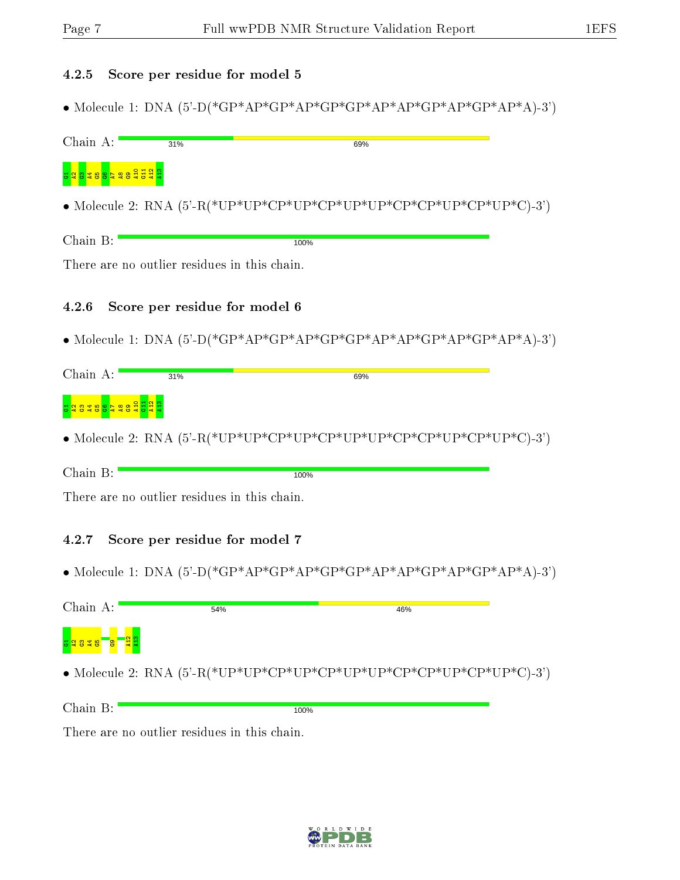#### 4.2.5 Score per residue for model 5

• Molecule 1: DNA (5'-D(\*GP\*AP\*GP\*AP\*GP\*AP\*AP\*AP\*GP\*AP\*GP\*AP\*A)-3')

| Chain A:                             | 31%                           |                                              | 69%                                                                                                                                                                                                                    |  |
|--------------------------------------|-------------------------------|----------------------------------------------|------------------------------------------------------------------------------------------------------------------------------------------------------------------------------------------------------------------------|--|
| d 8 <mark>8 5 3 9 5 5 5 5 5 5</mark> |                               |                                              |                                                                                                                                                                                                                        |  |
|                                      |                               |                                              |                                                                                                                                                                                                                        |  |
| Chain B:                             |                               | 100%                                         |                                                                                                                                                                                                                        |  |
|                                      |                               | There are no outlier residues in this chain. |                                                                                                                                                                                                                        |  |
| 4.2.6                                | Score per residue for model 6 |                                              |                                                                                                                                                                                                                        |  |
|                                      |                               |                                              | • Molecule 1: DNA $(5^{\circ}\text{-D}({^*}\text{GP}^*\text{AP}^*\text{GP}^*\text{AP}^*\text{GP}^*\text{AP}^*\text{AP}^*\text{AP}^*\text{CP}^*\text{AP}^*\text{CP}^*\text{AP}^*\text{AP}^*\text{AP}^*\text{AP}^*)$     |  |
| Chain A:                             | 31%                           |                                              | 69%                                                                                                                                                                                                                    |  |
|                                      |                               |                                              |                                                                                                                                                                                                                        |  |
|                                      |                               |                                              |                                                                                                                                                                                                                        |  |
| Chain B:                             |                               | 100%                                         |                                                                                                                                                                                                                        |  |
|                                      |                               | There are no outlier residues in this chain. |                                                                                                                                                                                                                        |  |
| 4.2.7                                | Score per residue for model 7 |                                              |                                                                                                                                                                                                                        |  |
|                                      |                               |                                              | • Molecule 1: DNA $(5^{\circ}\text{-D}({^*}\text{GP}^*\text{AP}^*\text{GP}^*\text{AP}^*\text{GP}^*\text{AP}^*\text{AP}^*\text{AP}^*\text{CP}^*\text{AP}^*\text{CP}^*\text{AP}^*\text{AP}^*\text{AP}^*\text{AP}^*)-3')$ |  |
| Chain A:                             | 54%                           |                                              | 46%                                                                                                                                                                                                                    |  |
|                                      |                               |                                              |                                                                                                                                                                                                                        |  |
|                                      |                               |                                              |                                                                                                                                                                                                                        |  |

Chain B: 100%

There are no outlier residues in this chain.

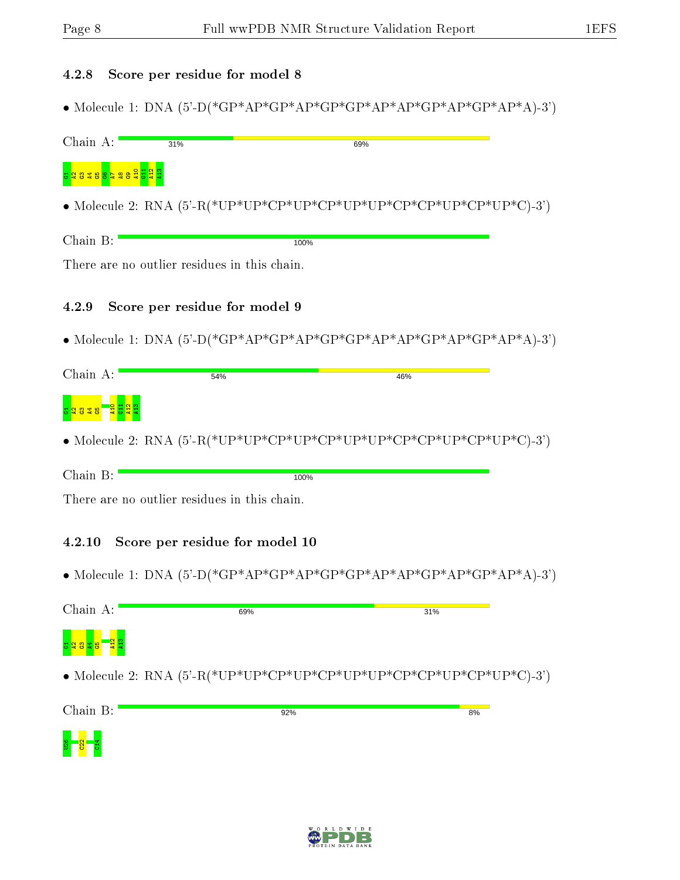#### 4.2.8 Score per residue for model 8

• Molecule 1: DNA (5'-D(\*GP\*AP\*GP\*AP\*GP\*AP\*AP\*AP\*GP\*AP\*GP\*AP\*A)-3')

| Chain A:                                     | 31%                            |      | 69%                                                                                                                                                                                                                |  |
|----------------------------------------------|--------------------------------|------|--------------------------------------------------------------------------------------------------------------------------------------------------------------------------------------------------------------------|--|
| <mark>្ទាំនិន្ននិទ្ធិ និ</mark>              |                                |      |                                                                                                                                                                                                                    |  |
|                                              |                                |      |                                                                                                                                                                                                                    |  |
| Chain B:                                     |                                | 100% |                                                                                                                                                                                                                    |  |
| There are no outlier residues in this chain. |                                |      |                                                                                                                                                                                                                    |  |
| 4.2.9                                        | Score per residue for model 9  |      |                                                                                                                                                                                                                    |  |
|                                              |                                |      | • Molecule 1: DNA $(5^{\circ}\text{-D}({^*}\text{GP}^*\text{AP}^*\text{GP}^*\text{AP}^*\text{GP}^*\text{AP}^*\text{AP}^*\text{AP}^*\text{CP}^*\text{AP}^*\text{CP}^*\text{AP}^*\text{AP}^*\text{AP}^*\text{AP}^*)$ |  |
| Chain A:                                     | 54%                            |      | 46%                                                                                                                                                                                                                |  |
|                                              |                                |      |                                                                                                                                                                                                                    |  |
|                                              |                                |      |                                                                                                                                                                                                                    |  |
| Chain B:                                     |                                | 100% |                                                                                                                                                                                                                    |  |
| There are no outlier residues in this chain. |                                |      |                                                                                                                                                                                                                    |  |
| 4.2.10                                       | Score per residue for model 10 |      |                                                                                                                                                                                                                    |  |
|                                              |                                |      |                                                                                                                                                                                                                    |  |
| Chain A:                                     | 69%                            |      | 31%                                                                                                                                                                                                                |  |
|                                              |                                |      |                                                                                                                                                                                                                    |  |
|                                              |                                |      |                                                                                                                                                                                                                    |  |
| Chain B:                                     |                                | 92%  | 8%                                                                                                                                                                                                                 |  |
|                                              |                                |      |                                                                                                                                                                                                                    |  |

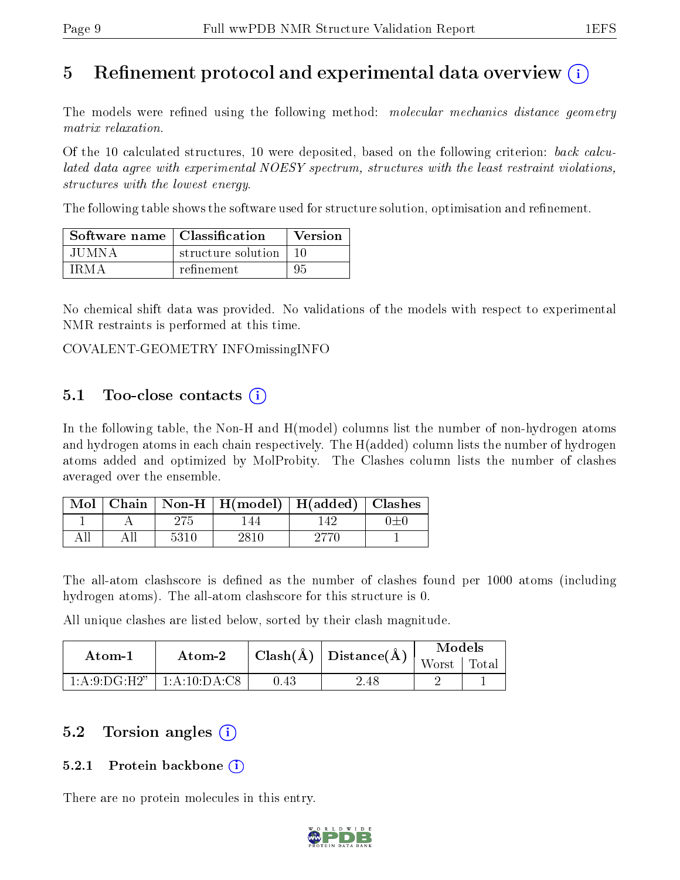### 5 Refinement protocol and experimental data overview  $\binom{1}{k}$

The models were refined using the following method: *molecular mechanics distance geometry* matrix relaxation.

Of the 10 calculated structures, 10 were deposited, based on the following criterion: back calculated data agree with experimental NOESY spectrum, structures with the least restraint violations, structures with the lowest energy.

The following table shows the software used for structure solution, optimisation and refinement.

| Software name   Classification |                    | Version |
|--------------------------------|--------------------|---------|
| .IU MN A                       | structure solution | 10      |
| I R M A                        | refinement         | 95      |

No chemical shift data was provided. No validations of the models with respect to experimental NMR restraints is performed at this time.

COVALENT-GEOMETRY INFOmissingINFO

#### 5.1 Too-close contacts  $(i)$

In the following table, the Non-H and H(model) columns list the number of non-hydrogen atoms and hydrogen atoms in each chain respectively. The H(added) column lists the number of hydrogen atoms added and optimized by MolProbity. The Clashes column lists the number of clashes averaged over the ensemble.

|  |      | Mol   Chain   Non-H   H(model)   H(added)   Clashes |  |
|--|------|-----------------------------------------------------|--|
|  |      | 44                                                  |  |
|  | 5310 |                                                     |  |

The all-atom clashscore is defined as the number of clashes found per 1000 atoms (including hydrogen atoms). The all-atom clashscore for this structure is 0.

All unique clashes are listed below, sorted by their clash magnitude.

| Atom-1 | Atom-2                          |      | $\mid \text{Clash}(\textrm{\AA}) \mid \text{Distance}(\textrm{\AA}) \mid \text{}$ | <b>Models</b> |  |
|--------|---------------------------------|------|-----------------------------------------------------------------------------------|---------------|--|
|        |                                 |      |                                                                                   | Worst   Total |  |
|        | $1:A:9:DG:H2"$   $1:A:10:DA:C8$ | 0.43 | 2.48                                                                              |               |  |

### 5.2 Torsion angles (i)

#### 5.2.1 Protein backbone (i)

There are no protein molecules in this entry.

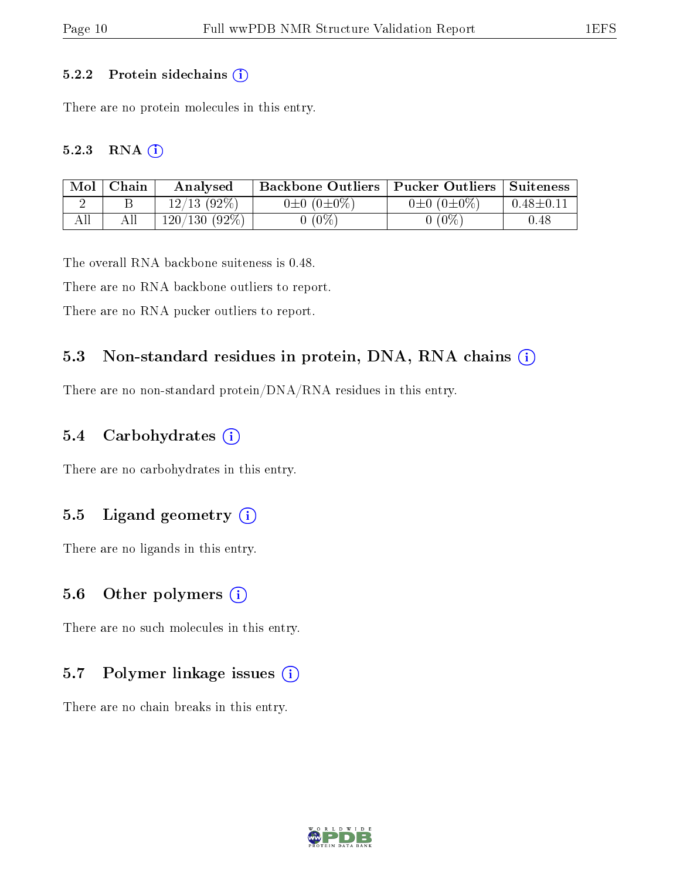#### 5.2.2 Protein sidechains  $(i)$

There are no protein molecules in this entry.

#### 5.2.3 RNA [O](https://www.wwpdb.org/validation/2017/NMRValidationReportHelp#rna)i

| Mol | Chain | Analysed        | <b>Backbone Outliers   Pucker Outliers   Suiteness</b> |                       |                 |
|-----|-------|-----------------|--------------------------------------------------------|-----------------------|-----------------|
|     |       | $12/13$ (92%)   | $0 \pm 0$ $(0 \pm 0\%)$                                | $0\pm 0$ $(0\pm 0\%)$ | $0.48 \pm 0.11$ |
|     |       | $120/130(92\%)$ | $(0\%$                                                 | $0(0\%)$              | $0.48\,$        |

The overall RNA backbone suiteness is 0.48.

There are no RNA backbone outliers to report.

There are no RNA pucker outliers to report.

#### 5.3 Non-standard residues in protein, DNA, RNA chains (i)

There are no non-standard protein/DNA/RNA residues in this entry.

#### 5.4 Carbohydrates  $(i)$

There are no carbohydrates in this entry.

#### 5.5 Ligand geometry  $(i)$

There are no ligands in this entry.

#### 5.6 [O](https://www.wwpdb.org/validation/2017/NMRValidationReportHelp#nonstandard_residues_and_ligands)ther polymers  $(i)$

There are no such molecules in this entry.

#### 5.7 Polymer linkage issues  $(i)$

There are no chain breaks in this entry.